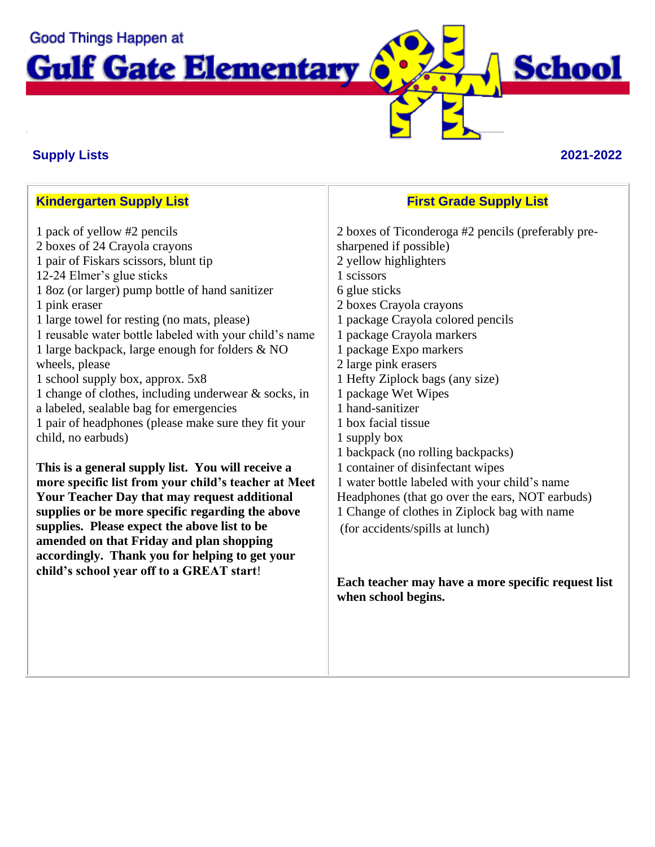

### **Supply Lists 2021-2022**

#### **Kindergarten Supply List**

1 pack of yellow #2 pencils 2 boxes of 24 Crayola crayons 1 pair of Fiskars scissors, blunt tip 12-24 Elmer's glue sticks 1 8oz (or larger) pump bottle of hand sanitizer 1 pink eraser 1 large towel for resting (no mats, please) 1 reusable water bottle labeled with your child's name 1 large backpack, large enough for folders & NO wheels, please 1 school supply box, approx. 5x8 1 change of clothes, including underwear & socks, in a labeled, sealable bag for emergencies 1 pair of headphones (please make sure they fit your child, no earbuds) **This is a general supply list. You will receive a more specific list from your child's teacher at Meet** 

**Your Teacher Day that may request additional supplies or be more specific regarding the above supplies. Please expect the above list to be amended on that Friday and plan shopping accordingly. Thank you for helping to get your child's school year off to a GREAT start**!

## **First Grade Supply List**

2 boxes of Ticonderoga #2 pencils (preferably presharpened if possible) 2 yellow highlighters 1 scissors 6 glue sticks 2 boxes Crayola crayons 1 package Crayola colored pencils 1 package Crayola markers 1 package Expo markers 2 large pink erasers 1 Hefty Ziplock bags (any size) 1 package Wet Wipes 1 hand-sanitizer 1 box facial tissue 1 supply box 1 backpack (no rolling backpacks) 1 container of disinfectant wipes 1 water bottle labeled with your child's name Headphones (that go over the ears, NOT earbuds) 1 Change of clothes in Ziplock bag with name (for accidents/spills at lunch)

**Each teacher may have a more specific request list when school begins.**